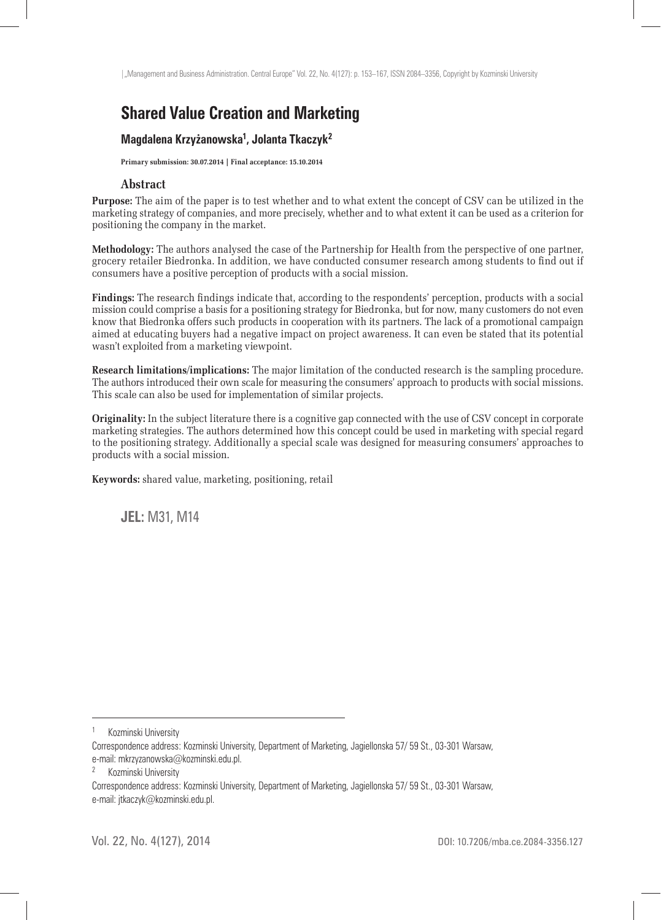# **Shared Value Creation and Marketing**

### **Magdalena Krzyżanowska1 , Jolanta Tkaczyk<sup>2</sup>**

**Primary submission: 30.07.2014 | Final acceptance: 15.10.2014**

### **Abstract**

**Purpose:** The aim of the paper is to test whether and to what extent the concept of CSV can be utilized in the marketing strategy of companies, and more precisely, whether and to what extent it can be used as a criterion for positioning the company in the market.

**Methodology:** The authors analysed the case of the Partnership for Health from the perspective of one partner, grocery retailer Biedronka. In addition, we have conducted consumer research among students to find out if consumers have a positive perception of products with a social mission.

**Findings:** The research findings indicate that, according to the respondents' perception, products with a social mission could comprise a basis for a positioning strategy for Biedronka, but for now, many customers do not even know that Biedronka offers such products in cooperation with its partners. The lack of a promotional campaign aimed at educating buyers had a negative impact on project awareness. It can even be stated that its potential wasn't exploited from a marketing viewpoint.

**Research limitations/implications:** The major limitation of the conducted research is the sampling procedure. The authors introduced their own scale for measuring the consumers' approach to products with social missions. This scale can also be used for implementation of similar projects.

**Originality:** In the subject literature there is a cognitive gap connected with the use of CSV concept in corporate marketing strategies. The authors determined how this concept could be used in marketing with special regard to the positioning strategy. Additionally a special scale was designed for measuring consumers' approaches to products with a social mission.

**Keywords:** shared value, marketing, positioning, retail

**JEL:** M31, M14

Kozminski University

Correspondence address: Kozminski University, Department of Marketing, Jagiellonska 57/ 59 St., 03-301 Warsaw, e-mail: mkrzyzanowska@kozminski.edu.pl.

<sup>2</sup> Kozminski University

Correspondence address: Kozminski University, Department of Marketing, Jagiellonska 57/ 59 St., 03-301 Warsaw, e-mail: jtkaczyk@kozminski.edu.pl.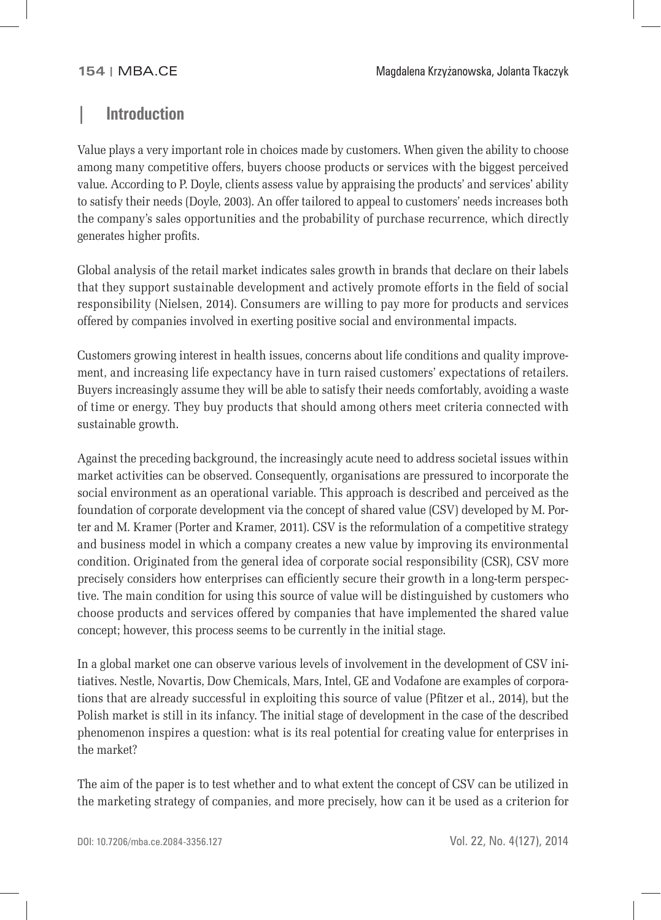### **| Introduction**

Value plays a very important role in choices made by customers. When given the ability to choose among many competitive offers, buyers choose products or services with the biggest perceived value. According to P. Doyle, clients assess value by appraising the products' and services' ability to satisfy their needs (Doyle, 2003). An offer tailored to appeal to customers' needs increases both the company's sales opportunities and the probability of purchase recurrence, which directly generates higher profits.

Global analysis of the retail market indicates sales growth in brands that declare on their labels that they support sustainable development and actively promote efforts in the field of social responsibility (Nielsen, 2014). Consumers are willing to pay more for products and services offered by companies involved in exerting positive social and environmental impacts.

Customers growing interest in health issues, concerns about life conditions and quality improvement, and increasing life expectancy have in turn raised customers' expectations of retailers. Buyers increasingly assume they will be able to satisfy their needs comfortably, avoiding a waste of time or energy. They buy products that should among others meet criteria connected with sustainable growth.

Against the preceding background, the increasingly acute need to address societal issues within market activities can be observed. Consequently, organisations are pressured to incorporate the social environment as an operational variable. This approach is described and perceived as the foundation of corporate development via the concept of shared value (CSV) developed by M. Porter and M. Kramer (Porter and Kramer, 2011). CSV is the reformulation of a competitive strategy and business model in which a company creates a new value by improving its environmental condition. Originated from the general idea of corporate social responsibility (CSR), CSV more precisely considers how enterprises can efficiently secure their growth in a long-term perspective. The main condition for using this source of value will be distinguished by customers who choose products and services offered by companies that have implemented the shared value concept; however, this process seems to be currently in the initial stage.

In a global market one can observe various levels of involvement in the development of CSV initiatives. Nestle, Novartis, Dow Chemicals, Mars, Intel, GE and Vodafone are examples of corporations that are already successful in exploiting this source of value (Pfitzer et al., 2014), but the Polish market is still in its infancy. The initial stage of development in the case of the described phenomenon inspires a question: what is its real potential for creating value for enterprises in the market?

The aim of the paper is to test whether and to what extent the concept of CSV can be utilized in the marketing strategy of companies, and more precisely, how can it be used as a criterion for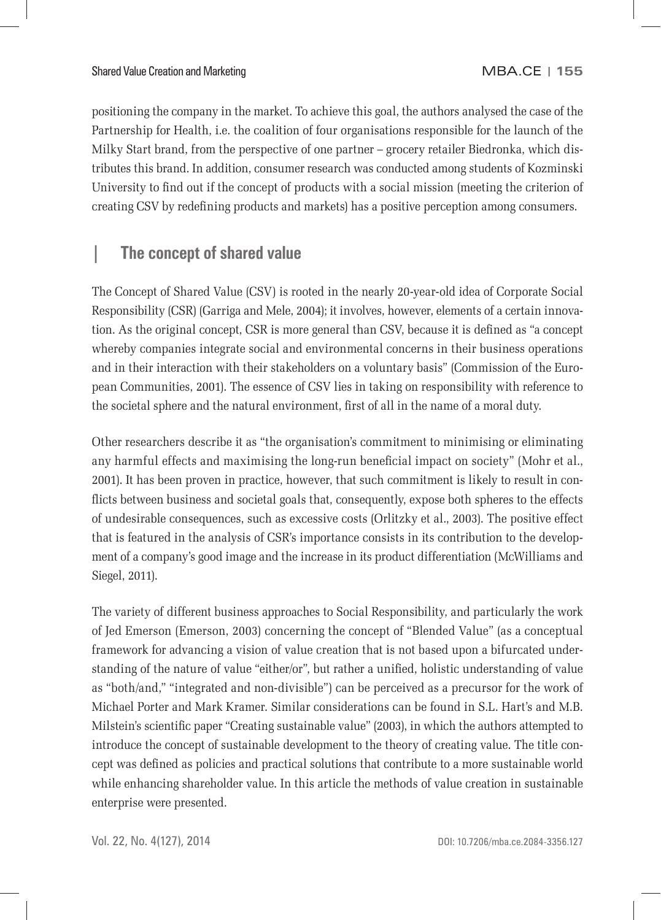positioning the company in the market. To achieve this goal, the authors analysed the case of the Partnership for Health, i.e. the coalition of four organisations responsible for the launch of the Milky Start brand, from the perspective of one partner – grocery retailer Biedronka, which distributes this brand. In addition, consumer research was conducted among students of Kozminski University to find out if the concept of products with a social mission (meeting the criterion of creating CSV by redefining products and markets) has a positive perception among consumers.

# **| The concept of shared value**

The Concept of Shared Value (CSV) is rooted in the nearly 20-year-old idea of Corporate Social Responsibility (CSR) (Garriga and Mele, 2004); it involves, however, elements of a certain innovation. As the original concept, CSR is more general than CSV, because it is defined as "a concept whereby companies integrate social and environmental concerns in their business operations and in their interaction with their stakeholders on a voluntary basis" (Commission of the European Communities, 2001). The essence of CSV lies in taking on responsibility with reference to the societal sphere and the natural environment, first of all in the name of a moral duty.

Other researchers describe it as "the organisation's commitment to minimising or eliminating any harmful effects and maximising the long-run beneficial impact on society" (Mohr et al., 2001). It has been proven in practice, however, that such commitment is likely to result in conflicts between business and societal goals that, consequently, expose both spheres to the effects of undesirable consequences, such as excessive costs (Orlitzky et al., 2003). The positive effect that is featured in the analysis of CSR's importance consists in its contribution to the development of a company's good image and the increase in its product differentiation (McWilliams and Siegel, 2011).

The variety of different business approaches to Social Responsibility, and particularly the work of Jed Emerson (Emerson, 2003) concerning the concept of "Blended Value" (as a conceptual framework for advancing a vision of value creation that is not based upon a bifurcated understanding of the nature of value "either/or", but rather a unified, holistic understanding of value as "both/and," "integrated and non-divisible") can be perceived as a precursor for the work of Michael Porter and Mark Kramer. Similar considerations can be found in S.L. Hart's and M.B. Milstein's scientific paper "Creating sustainable value" (2003), in which the authors attempted to introduce the concept of sustainable development to the theory of creating value. The title concept was defined as policies and practical solutions that contribute to a more sustainable world while enhancing shareholder value. In this article the methods of value creation in sustainable enterprise were presented.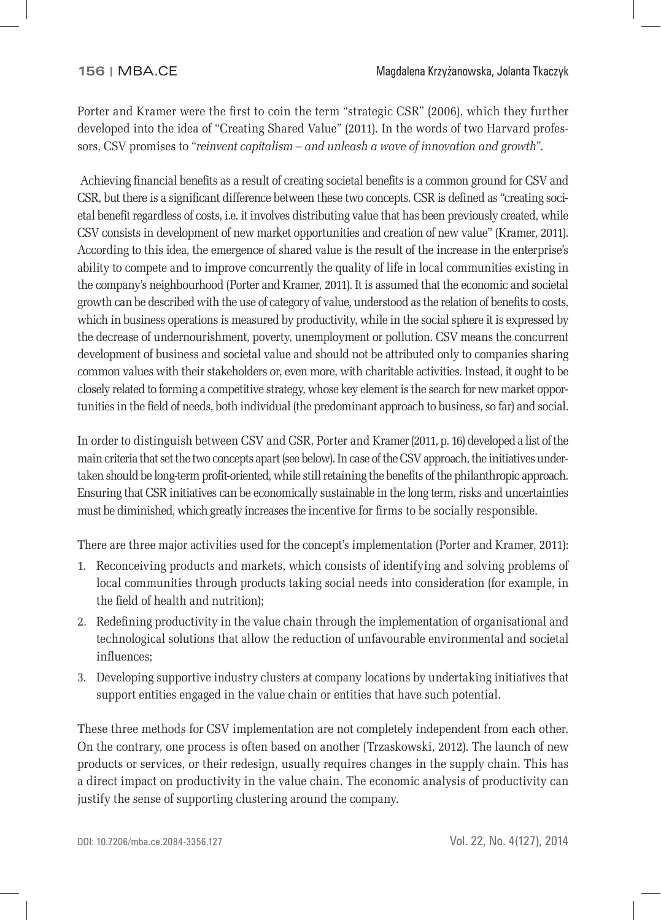Porter and Kramer were the first to coin the term "strategic CSR" (2006), which they further developed into the idea of "Creating Shared Value" (2011). In the words of two Harvard professors, CSV promises to "*reinvent capitalism – and unleash a wave of innovation and growth*".

Achieving financial benefits as a result of creating societal benefits is a common ground for CSV and CSR, but there is a significant difference between these two concepts. CSR is defined as "creating societal benefit regardless of costs, i.e. it involves distributing value that has been previously created, while CSV consists in development of new market opportunities and creation of new value" (Kramer, 2011). According to this idea, the emergence of shared value is the result of the increase in the enterprise's ability to compete and to improve concurrently the quality of life in local communities existing in the company's neighbourhood (Porter and Kramer, 2011). It is assumed that the economic and societal growth can be described with the use of category of value, understood as the relation of benefits to costs, which in business operations is measured by productivity, while in the social sphere it is expressed by the decrease of undernourishment, poverty, unemployment or pollution. CSV means the concurrent development of business and societal value and should not be attributed only to companies sharing common values with their stakeholders or, even more, with charitable activities. Instead, it ought to be closely related to forming a competitive strategy, whose key element is the search for new market opportunities in the field of needs, both individual (the predominant approach to business, so far) and social.

In order to distinguish between CSV and CSR, Porter and Kramer (2011, p. 16) developed a list of the main criteria that set the two concepts apart (see below). In case of the CSV approach, the initiatives undertaken should be long-term profit-oriented, while still retaining the benefits of the philanthropic approach. Ensuring that CSR initiatives can be economically sustainable in the long term, risks and uncertainties must be diminished, which greatly increases the incentive for firms to be socially responsible.

There are three major activities used for the concept's implementation (Porter and Kramer, 2011):

- 1. Reconceiving products and markets, which consists of identifying and solving problems of local communities through products taking social needs into consideration (for example, in the field of health and nutrition):
- 2. Redefining productivity in the value chain through the implementation of organisational and technological solutions that allow the reduction of unfavourable environmental and societal influences:
- 3. Developing supportive industry clusters at company locations by undertaking initiatives that support entities engaged in the value chain or entities that have such potential.

These three methods for CSV implementation are not completely independent from each other. On the contrary, one process is often based on another (Trzaskowski, 2012). The launch of new products or services, or their redesign, usually requires changes in the supply chain. This has a direct impact on productivity in the value chain. The economic analysis of productivity can justify the sense of supporting clustering around the company.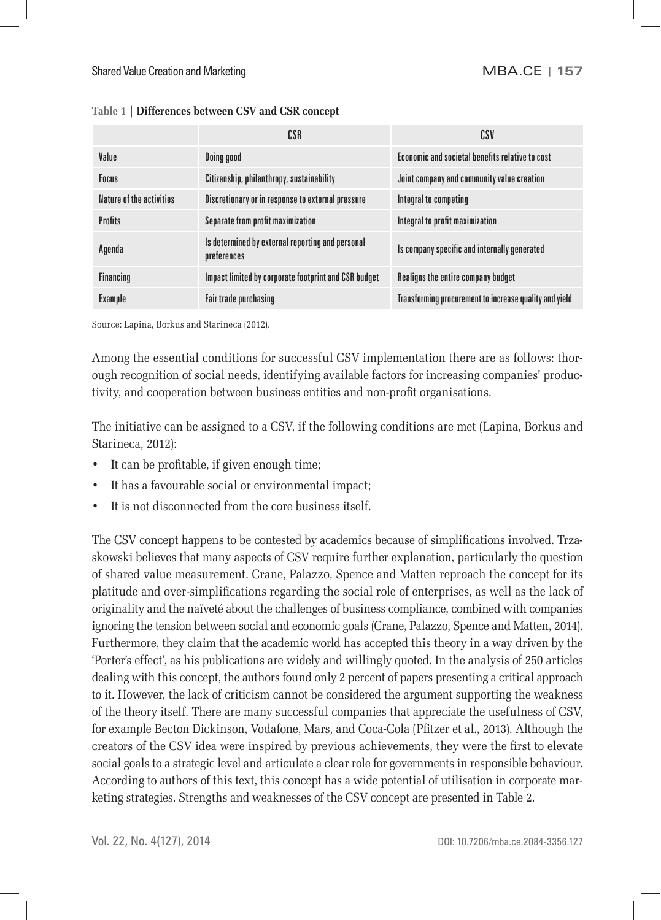|                          | CSR                                                             | csv                                                    |
|--------------------------|-----------------------------------------------------------------|--------------------------------------------------------|
| Value                    | Doing good                                                      | Economic and societal benefits relative to cost        |
| Focus                    | Citizenship, philanthropy, sustainability                       | Joint company and community value creation             |
| Nature of the activities | Discretionary or in response to external pressure               | Integral to competing                                  |
| <b>Profits</b>           | Separate from profit maximization                               | Integral to profit maximization                        |
| Agenda                   | Is determined by external reporting and personal<br>preferences | Is company specific and internally generated           |
| <b>Financing</b>         | Impact limited by corporate footprint and CSR budget            | Realigns the entire company budget                     |
| Example                  | <b>Fair trade purchasing</b>                                    | Transforming procurement to increase quality and yield |

### **Table 1 | Differences between CSV and CSR concept**

Source: Lapina, Borkus and Starineca (2012).

Among the essential conditions for successful CSV implementation there are as follows: thorough recognition of social needs, identifying available factors for increasing companies' productivity, and cooperation between business entities and non-profit organisations.

The initiative can be assigned to a CSV, if the following conditions are met (Lapina, Borkus and Starineca, 2012):

- It can be profitable, if given enough time;
- It has a favourable social or environmental impact;
- It is not disconnected from the core business itself.

The CSV concept happens to be contested by academics because of simplifications involved. Trzaskowski believes that many aspects of CSV require further explanation, particularly the question of shared value measurement. Crane, Palazzo, Spence and Matten reproach the concept for its platitude and over-simplifications regarding the social role of enterprises, as well as the lack of originality and the naïveté about the challenges of business compliance, combined with companies ignoring the tension between social and economic goals (Crane, Palazzo, Spence and Matten, 2014). Furthermore, they claim that the academic world has accepted this theory in a way driven by the 'Porter's effect', as his publications are widely and willingly quoted. In the analysis of 250 articles dealing with this concept, the authors found only 2 percent of papers presenting a critical approach to it. However, the lack of criticism cannot be considered the argument supporting the weakness of the theory itself. There are many successful companies that appreciate the usefulness of CSV, for example Becton Dickinson, Vodafone, Mars, and Coca-Cola (Pfitzer et al., 2013). Although the creators of the CSV idea were inspired by previous achievements, they were the first to elevate social goals to a strategic level and articulate a clear role for governments in responsible behaviour. According to authors of this text, this concept has a wide potential of utilisation in corporate marketing strategies. Strengths and weaknesses of the CSV concept are presented in Table 2.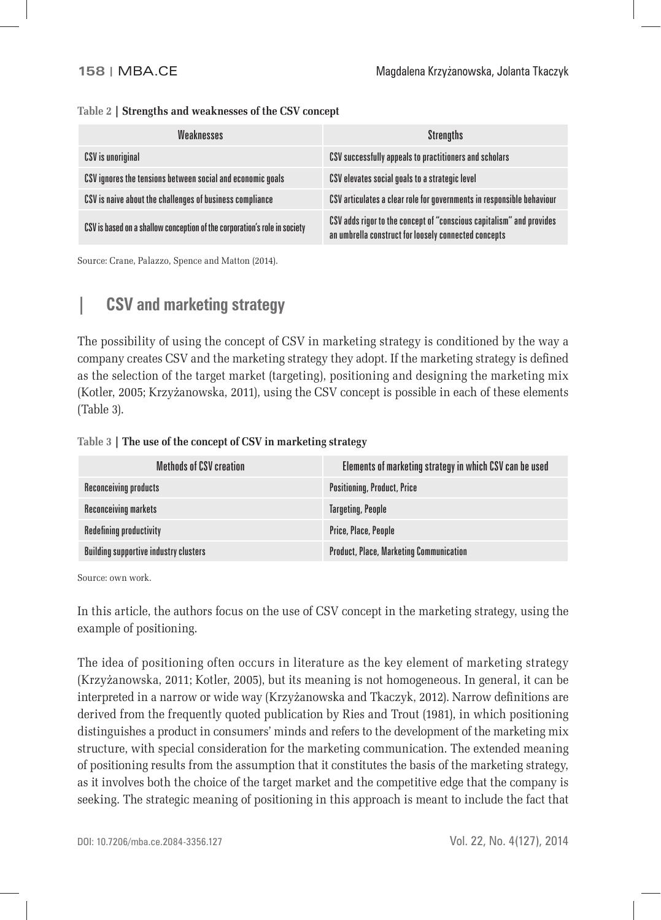### **Table 2 | Strengths and weaknesses of the CSV concept**

| Weaknesses                                                                | <b>Strengths</b>                                                                                                             |
|---------------------------------------------------------------------------|------------------------------------------------------------------------------------------------------------------------------|
| CSV is unoriginal                                                         | CSV successfully appeals to practitioners and scholars                                                                       |
| CSV ignores the tensions between social and economic goals                | CSV elevates social goals to a strategic level                                                                               |
| CSV is naive about the challenges of business compliance                  | CSV articulates a clear role for governments in responsible behaviour                                                        |
| CSV is based on a shallow conception of the corporation's role in society | CSV adds rigor to the concept of "conscious capitalism" and provides<br>an umbrella construct for loosely connected concepts |

Source: Crane, Palazzo, Spence and Matton (2014).

# **| CSV and marketing strategy**

The possibility of using the concept of CSV in marketing strategy is conditioned by the way a company creates CSV and the marketing strategy they adopt. If the marketing strategy is defined as the selection of the target market (targeting), positioning and designing the marketing mix (Kotler, 2005; Krzyżanowska, 2011), using the CSV concept is possible in each of these elements (Table 3).

### **Table 3 | The use of the concept of CSV in marketing strategy**

| <b>Methods of CSV creation</b>               | Elements of marketing strategy in which CSV can be used |
|----------------------------------------------|---------------------------------------------------------|
| <b>Reconceiving products</b>                 | <b>Positioning, Product, Price</b>                      |
| <b>Reconceiving markets</b>                  | <b>Targeting, People</b>                                |
| <b>Redefining productivity</b>               | Price, Place, People                                    |
| <b>Building supportive industry clusters</b> | <b>Product, Place, Marketing Communication</b>          |

Source: own work.

In this article, the authors focus on the use of CSV concept in the marketing strategy, using the example of positioning.

The idea of positioning often occurs in literature as the key element of marketing strategy (Krzyżanowska, 2011; Kotler, 2005), but its meaning is not homogeneous. In general, it can be interpreted in a narrow or wide way (Krzyżanowska and Tkaczyk, 2012). Narrow definitions are derived from the frequently quoted publication by Ries and Trout (1981), in which positioning distinguishes a product in consumers' minds and refers to the development of the marketing mix structure, with special consideration for the marketing communication. The extended meaning of positioning results from the assumption that it constitutes the basis of the marketing strategy, as it involves both the choice of the target market and the competitive edge that the company is seeking. The strategic meaning of positioning in this approach is meant to include the fact that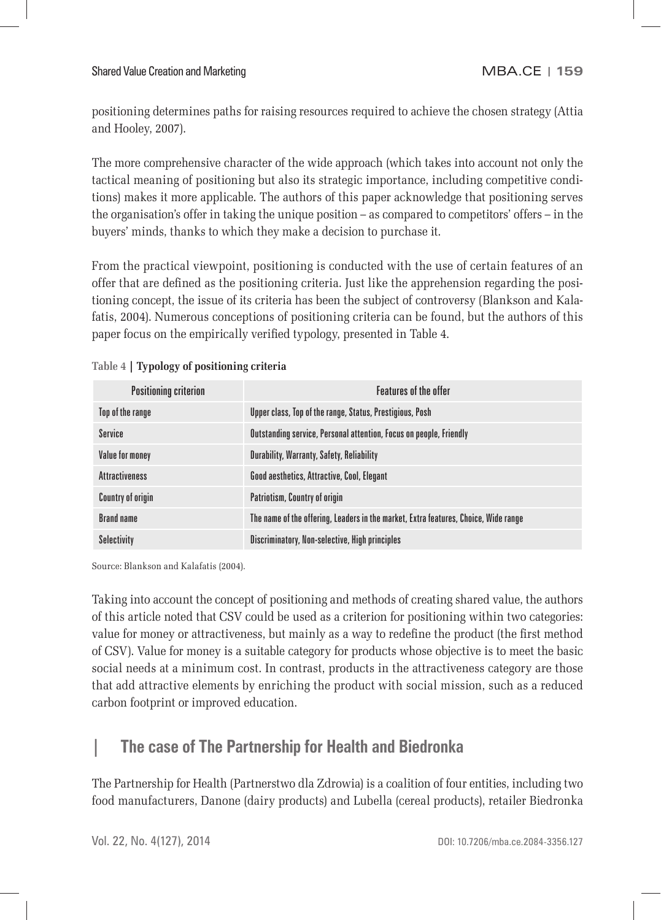positioning determines paths for raising resources required to achieve the chosen strategy (Attia and Hooley, 2007).

The more comprehensive character of the wide approach (which takes into account not only the tactical meaning of positioning but also its strategic importance, including competitive conditions) makes it more applicable. The authors of this paper acknowledge that positioning serves the organisation's offer in taking the unique position – as compared to competitors' offers – in the buyers' minds, thanks to which they make a decision to purchase it.

From the practical viewpoint, positioning is conducted with the use of certain features of an offer that are defined as the positioning criteria. Just like the apprehension regarding the positioning concept, the issue of its criteria has been the subject of controversy (Blankson and Kalafatis, 2004). Numerous conceptions of positioning criteria can be found, but the authors of this paper focus on the empirically verified typology, presented in Table 4.

| <b>Positioning criterion</b> | <b>Features of the offer</b>                                                        |
|------------------------------|-------------------------------------------------------------------------------------|
| Top of the range             | Upper class, Top of the range, Status, Prestigious, Posh                            |
| <b>Service</b>               | Outstanding service, Personal attention, Focus on people, Friendly                  |
| Value for money              | <b>Durability, Warranty, Safety, Reliability</b>                                    |
| <b>Attractiveness</b>        | <b>Good aesthetics, Attractive, Cool, Elegant</b>                                   |
| <b>Country of origin</b>     | Patriotism, Country of origin                                                       |
| <b>Brand name</b>            | The name of the offering, Leaders in the market, Extra features, Choice, Wide range |
| <b>Selectivity</b>           | Discriminatory, Non-selective, High principles                                      |

| Table 4   Typology of positioning criteria |  |  |  |  |
|--------------------------------------------|--|--|--|--|
|--------------------------------------------|--|--|--|--|

Source: Blankson and Kalafatis (2004).

Taking into account the concept of positioning and methods of creating shared value, the authors of this article noted that CSV could be used as a criterion for positioning within two categories: value for money or attractiveness, but mainly as a way to redefine the product (the first method of CSV). Value for money is a suitable category for products whose objective is to meet the basic social needs at a minimum cost. In contrast, products in the attractiveness category are those that add attractive elements by enriching the product with social mission, such as a reduced carbon footprint or improved education.

# **| The case of The Partnership for Health and Biedronka**

The Partnership for Health (Partnerstwo dla Zdrowia) is a coalition of four entities, including two food manufacturers, Danone (dairy products) and Lubella (cereal products), retailer Biedronka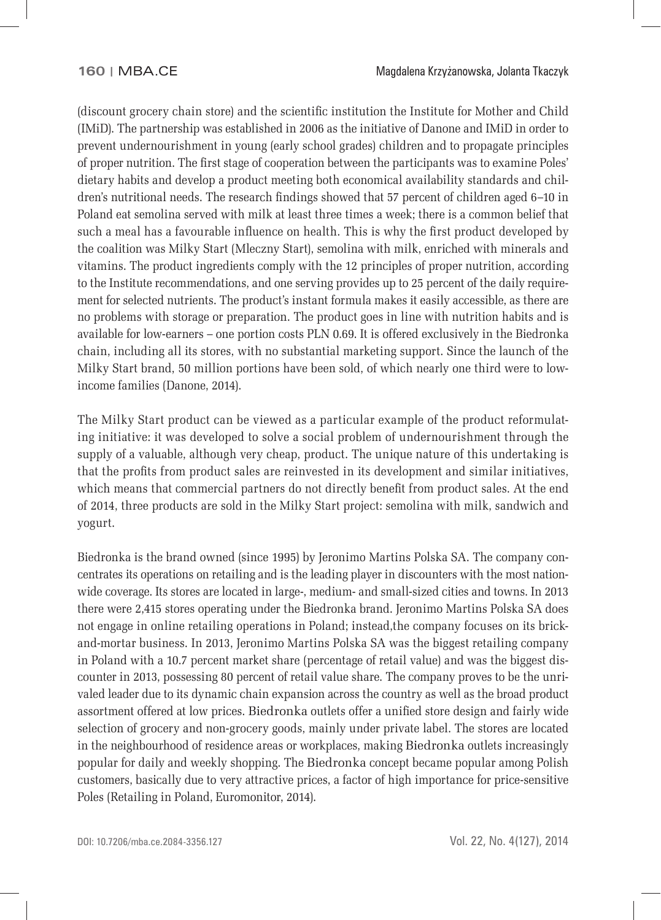(discount grocery chain store) and the scientific institution the Institute for Mother and Child (IMiD). The partnership was established in 2006 as the initiative of Danone and IMiD in order to prevent undernourishment in young (early school grades) children and to propagate principles of proper nutrition. The first stage of cooperation between the participants was to examine Poles' dietary habits and develop a product meeting both economical availability standards and children's nutritional needs. The research findings showed that 57 percent of children aged 6–10 in Poland eat semolina served with milk at least three times a week; there is a common belief that such a meal has a favourable influence on health. This is why the first product developed by the coalition was Milky Start (Mleczny Start), semolina with milk, enriched with minerals and vitamins. The product ingredients comply with the 12 principles of proper nutrition, according to the Institute recommendations, and one serving provides up to 25 percent of the daily requirement for selected nutrients. The product's instant formula makes it easily accessible, as there are no problems with storage or preparation. The product goes in line with nutrition habits and is available for low-earners – one portion costs PLN 0.69. It is offered exclusively in the Biedronka chain, including all its stores, with no substantial marketing support. Since the launch of the Milky Start brand, 50 million portions have been sold, of which nearly one third were to lowincome families (Danone, 2014).

The Milky Start product can be viewed as a particular example of the product reformulating initiative: it was developed to solve a social problem of undernourishment through the supply of a valuable, although very cheap, product. The unique nature of this undertaking is that the profits from product sales are reinvested in its development and similar initiatives, which means that commercial partners do not directly benefit from product sales. At the end of 2014, three products are sold in the Milky Start project: semolina with milk, sandwich and yogurt.

Biedronka is the brand owned (since 1995) by Jeronimo Martins Polska SA. The company concentrates its operations on retailing and is the leading player in discounters with the most nationwide coverage. Its stores are located in large-, medium- and small-sized cities and towns. In 2013 there were 2,415 stores operating under the Biedronka brand. Jeronimo Martins Polska SA does not engage in online retailing operations in Poland; instead,the company focuses on its brickand-mortar business. In 2013, Jeronimo Martins Polska SA was the biggest retailing company in Poland with a 10.7 percent market share (percentage of retail value) and was the biggest discounter in 2013, possessing 80 percent of retail value share. The company proves to be the unrivaled leader due to its dynamic chain expansion across the country as well as the broad product assortment offered at low prices. Biedronka outlets offer a unified store design and fairly wide selection of grocery and non-grocery goods, mainly under private label. The stores are located in the neighbourhood of residence areas or workplaces, making Biedronka outlets increasingly popular for daily and weekly shopping. The Biedronka concept became popular among Polish customers, basically due to very attractive prices, a factor of high importance for price-sensitive Poles (Retailing in Poland, Euromonitor, 2014).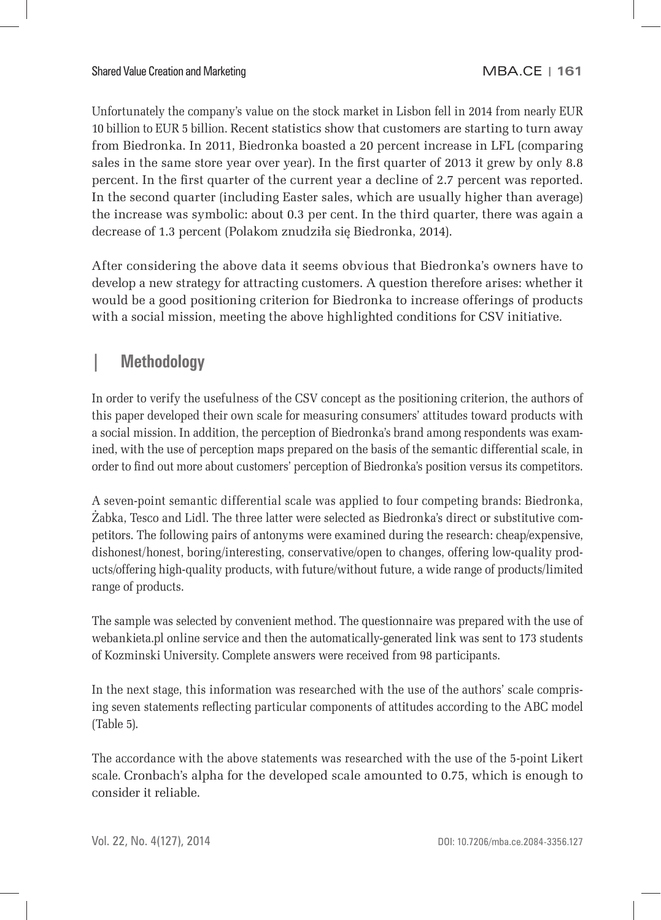Unfortunately the company's value on the stock market in Lisbon fell in 2014 from nearly EUR 10 billion to EUR 5 billion. Recent statistics show that customers are starting to turn away from Biedronka. In 2011, Biedronka boasted a 20 percent increase in LFL (comparing sales in the same store year over year). In the first quarter of 2013 it grew by only 8.8 percent. In the first quarter of the current year a decline of 2.7 percent was reported. In the second quarter (including Easter sales, which are usually higher than average) the increase was symbolic: about 0.3 per cent. In the third quarter, there was again a decrease of 1.3 percent (Polakom znudziła się Biedronka, 2014).

After considering the above data it seems obvious that Biedronka's owners have to develop a new strategy for attracting customers. A question therefore arises: whether it would be a good positioning criterion for Biedronka to increase offerings of products with a social mission, meeting the above highlighted conditions for CSV initiative.

# **| Methodology**

In order to verify the usefulness of the CSV concept as the positioning criterion, the authors of this paper developed their own scale for measuring consumers' attitudes toward products with a social mission. In addition, the perception of Biedronka's brand among respondents was examined, with the use of perception maps prepared on the basis of the semantic differential scale, in order to find out more about customers' perception of Biedronka's position versus its competitors.

A seven-point semantic differential scale was applied to four competing brands: Biedronka, Żabka, Tesco and Lidl. The three latter were selected as Biedronka's direct or substitutive competitors. The following pairs of antonyms were examined during the research: cheap/expensive, dishonest/honest, boring/interesting, conservative/open to changes, offering low-quality products/offering high-quality products, with future/without future, a wide range of products/limited range of products.

The sample was selected by convenient method. The questionnaire was prepared with the use of webankieta.pl online service and then the automatically-generated link was sent to 173 students of Kozminski University. Complete answers were received from 98 participants.

In the next stage, this information was researched with the use of the authors' scale comprising seven statements reflecting particular components of attitudes according to the ABC model (Table 5).

The accordance with the above statements was researched with the use of the 5-point Likert scale. Cronbach's alpha for the developed scale amounted to 0.75, which is enough to consider it reliable.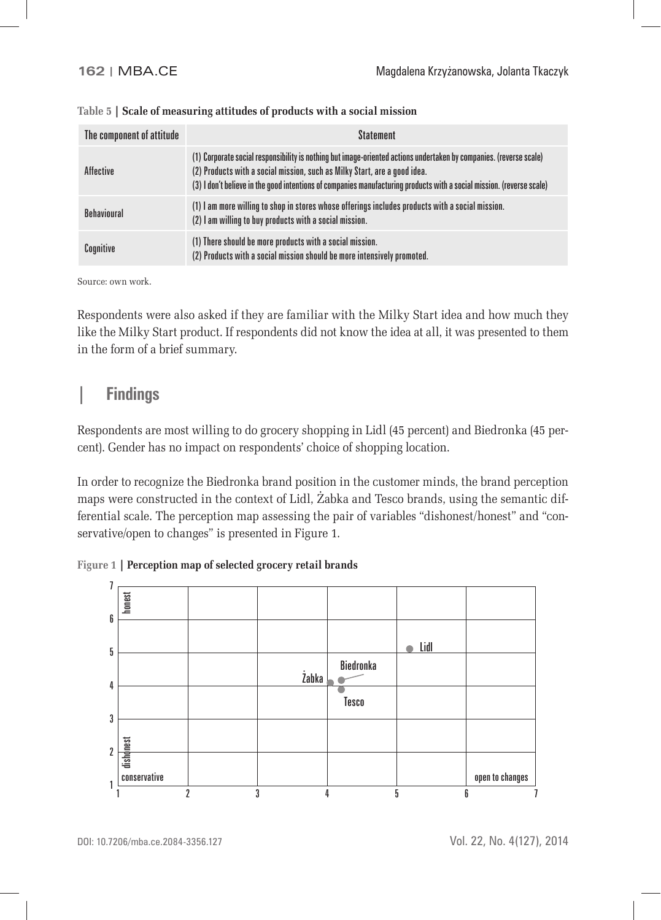| The component of attitude | <b>Statement</b>                                                                                                                                                                                                                                                                                                         |
|---------------------------|--------------------------------------------------------------------------------------------------------------------------------------------------------------------------------------------------------------------------------------------------------------------------------------------------------------------------|
| <b>Affective</b>          | (1) Corporate social responsibility is nothing but image-oriented actions undertaken by companies. (reverse scale)<br>(2) Products with a social mission, such as Milky Start, are a good idea.<br>(3) I don't believe in the good intentions of companies manufacturing products with a social mission. (reverse scale) |
| <b>Behavioural</b>        | (1) I am more willing to shop in stores whose offerings includes products with a social mission.<br>(2) I am willing to buy products with a social mission.                                                                                                                                                              |
| Cognitive                 | (1) There should be more products with a social mission.<br>(2) Products with a social mission should be more intensively promoted.                                                                                                                                                                                      |

| Table 5   Scale of measuring attitudes of products with a social mission |  |
|--------------------------------------------------------------------------|--|

Source: own work.

Respondents were also asked if they are familiar with the Milky Start idea and how much they like the Milky Start product. If respondents did not know the idea at all, it was presented to them in the form of a brief summary.

### **| Findings**

Respondents are most willing to do grocery shopping in Lidl (45 percent) and Biedronka (45 percent). Gender has no impact on respondents' choice of shopping location.

In order to recognize the Biedronka brand position in the customer minds, the brand perception maps were constructed in the context of Lidl, Żabka and Tesco brands, using the semantic differential scale. The perception map assessing the pair of variables "dishonest/honest" and "conservative/open to changes" is presented in Figure 1.

**Figure 1 | Perception map of selected grocery retail brands**

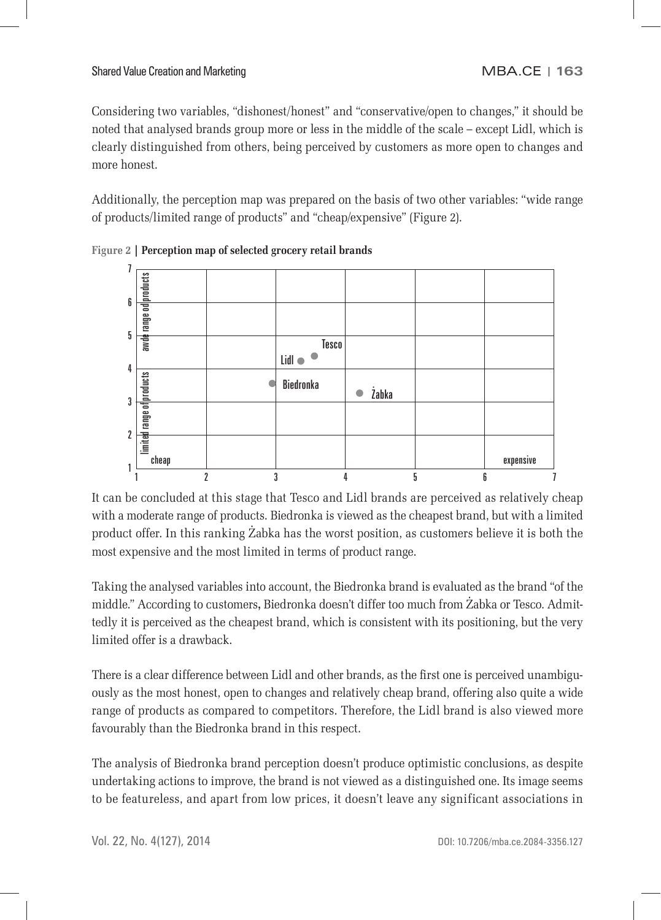Considering two variables, "dishonest/honest" and "conservative/open to changes," it should be noted that analysed brands group more or less in the middle of the scale – except Lidl, which is clearly distinguished from others, being perceived by customers as more open to changes and more honest.

Additionally, the perception map was prepared on the basis of two other variables: "wide range of products/limited range of products" and "cheap/expensive" (Figure 2).



**Figure 2 | Perception map of selected grocery retail brands**

It can be concluded at this stage that Tesco and Lidl brands are perceived as relatively cheap with a moderate range of products. Biedronka is viewed as the cheapest brand, but with a limited product offer. In this ranking Żabka has the worst position, as customers believe it is both the most expensive and the most limited in terms of product range.

Taking the analysed variables into account, the Biedronka brand is evaluated as the brand "of the middle." According to customers**,** Biedronka doesn't differ too much from Żabka or Tesco. Admittedly it is perceived as the cheapest brand, which is consistent with its positioning, but the very limited offer is a drawback.

There is a clear difference between Lidl and other brands, as the first one is perceived unambiguously as the most honest, open to changes and relatively cheap brand, offering also quite a wide range of products as compared to competitors. Therefore, the Lidl brand is also viewed more favourably than the Biedronka brand in this respect.

The analysis of Biedronka brand perception doesn't produce optimistic conclusions, as despite undertaking actions to improve, the brand is not viewed as a distinguished one. Its image seems to be featureless, and apart from low prices, it doesn't leave any significant associations in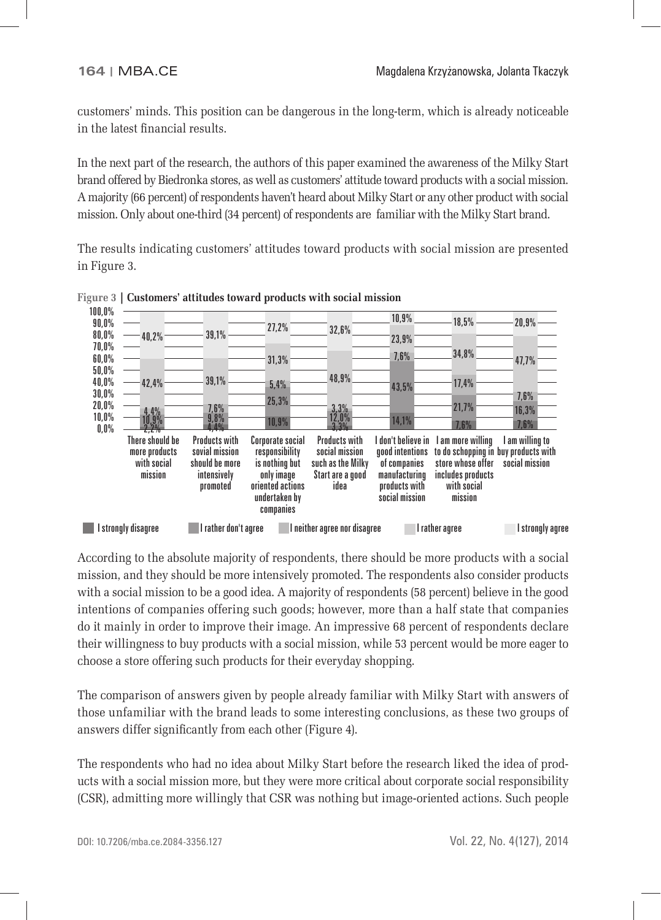customers' minds. This position can be dangerous in the long-term, which is already noticeable in the latest financial results.

In the next part of the research, the authors of this paper examined the awareness of the Milky Start brand offered by Biedronka stores, as well as customers' attitude toward products with a social mission. A majority (66 percent) of respondents haven't heard about Milky Start or any other product with social mission. Only about one-third (34 percent) of respondents are familiar with the Milky Start brand.

The results indicating customers' attitudes toward products with social mission are presented in Figure 3.



**Figure 3 | Customers' attitudes toward products with social mission**

According to the absolute majority of respondents, there should be more products with a social mission, and they should be more intensively promoted. The respondents also consider products with a social mission to be a good idea. A majority of respondents (58 percent) believe in the good intentions of companies offering such goods; however, more than a half state that companies do it mainly in order to improve their image. An impressive 68 percent of respondents declare their willingness to buy products with a social mission, while 53 percent would be more eager to choose a store offering such products for their everyday shopping.

The comparison of answers given by people already familiar with Milky Start with answers of those unfamiliar with the brand leads to some interesting conclusions, as these two groups of answers differ significantly from each other (Figure 4).

The respondents who had no idea about Milky Start before the research liked the idea of products with a social mission more, but they were more critical about corporate social responsibility (CSR), admitting more willingly that CSR was nothing but image-oriented actions. Such people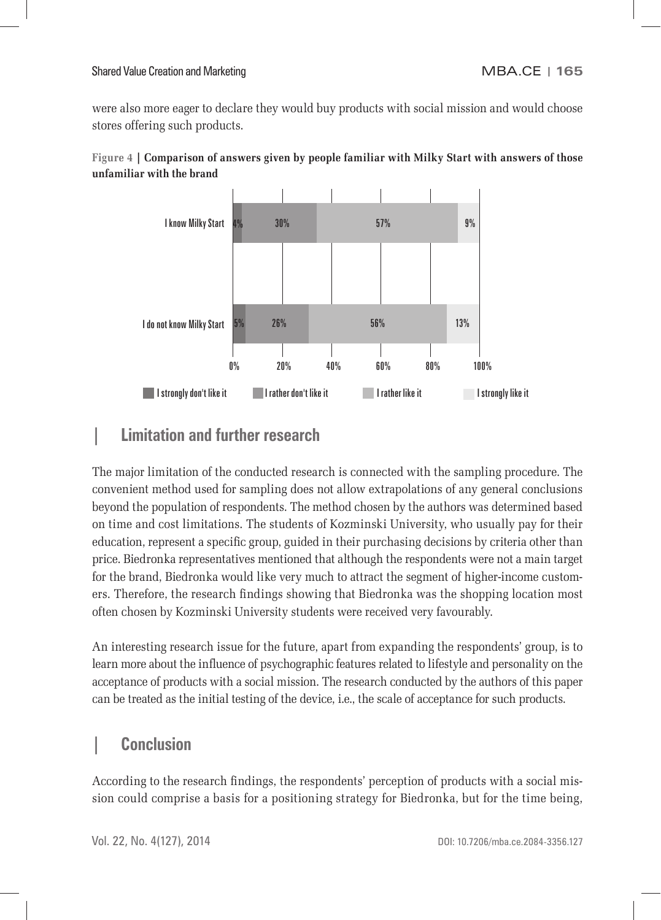were also more eager to declare they would buy products with social mission and would choose stores offering such products.





# **| Limitation and further research**

The major limitation of the conducted research is connected with the sampling procedure. The convenient method used for sampling does not allow extrapolations of any general conclusions beyond the population of respondents. The method chosen by the authors was determined based on time and cost limitations. The students of Kozminski University, who usually pay for their education, represent a specific group, guided in their purchasing decisions by criteria other than price. Biedronka representatives mentioned that although the respondents were not a main target for the brand, Biedronka would like very much to attract the segment of higher-income customers. Therefore, the research findings showing that Biedronka was the shopping location most often chosen by Kozminski University students were received very favourably.

An interesting research issue for the future, apart from expanding the respondents' group, is to learn more about the influence of psychographic features related to lifestyle and personality on the acceptance of products with a social mission. The research conducted by the authors of this paper can be treated as the initial testing of the device, i.e., the scale of acceptance for such products.

# **| Conclusion**

According to the research findings, the respondents' perception of products with a social mission could comprise a basis for a positioning strategy for Biedronka, but for the time being,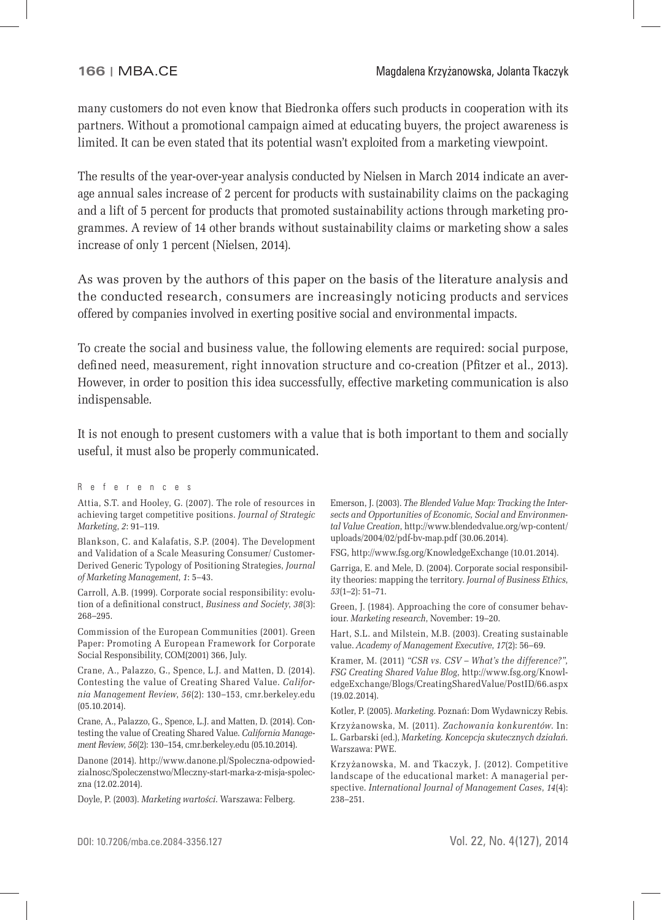many customers do not even know that Biedronka offers such products in cooperation with its partners. Without a promotional campaign aimed at educating buyers, the project awareness is limited. It can be even stated that its potential wasn't exploited from a marketing viewpoint.

The results of the year-over-year analysis conducted by Nielsen in March 2014 indicate an average annual sales increase of 2 percent for products with sustainability claims on the packaging and a lift of 5 percent for products that promoted sustainability actions through marketing programmes. A review of 14 other brands without sustainability claims or marketing show a sales increase of only 1 percent (Nielsen, 2014).

As was proven by the authors of this paper on the basis of the literature analysis and the conducted research, consumers are increasingly noticing products and services offered by companies involved in exerting positive social and environmental impacts.

To create the social and business value, the following elements are required: social purpose, defined need, measurement, right innovation structure and co-creation (Pfitzer et al., 2013). However, in order to position this idea successfully, effective marketing communication is also indispensable.

It is not enough to present customers with a value that is both important to them and socially useful, it must also be properly communicated.

#### References

Attia, S.T. and Hooley, G. (2007). The role of resources in achieving target competitive positions. *Journal of Strategic Marketing*, *2*: 91–119.

Blankson, C. and Kalafatis, S.P. (2004). The Development and Validation of a Scale Measuring Consumer/ Customer-Derived Generic Typology of Positioning Strategies, *Journal of Marketing Management*, *1*: 5–43.

Carroll, A.B. (1999). Corporate social responsibility: evolution of a definitional construct, *Business and Society*, 38(3): 268–295.

Commission of the European Communities (2001). Green Paper: Promoting A European Framework for Corporate Social Responsibility, COM(2001) 366, July.

Crane, A., Palazzo, G., Spence, L.J. and Matten, D. (2014). Contesting the value of Creating Shared Value. *California Management Review*, *56*(2): 130–153, cmr.berkeley.edu (05.10.2014).

Crane, A., Palazzo, G., Spence, L.J. and Matten, D. (2014). Contesting the value of Creating Shared Value. *California Management Review*, *56*(2): 130–154, cmr.berkeley.edu (05.10.2014).

Danone (2014). http://www.danone.pl/Spoleczna-odpowiedzialnosc/Spoleczenstwo/Mleczny-start-marka-z-misja-spoleczna (12.02.2014).

Doyle, P. (2003). *Marketing wartości*. Warszawa: Felberg.

Emerson, J. (2003). *The Blended Value Map: Tracking the Intersects and Opportunities of Economic, Social and Environmental Value Creation*, http://www.blendedvalue.org/wp-content/ uploads/2004/02/pdf-bv-map.pdf (30.06.2014).

FSG, http://www.fsg.org/KnowledgeExchange (10.01.2014).

Garriga, E. and Mele, D. (2004). Corporate social responsibility theories: mapping the territory. *Journal of Business Ethics*, *53*(1–2): 51–71.

Green, J. (1984). Approaching the core of consumer behaviour. *Marketing research*, November: 19–20.

Hart, S.L. and Milstein, M.B. (2003). Creating sustainable value. *Academy of Management Executive*, *17*(2): 56–69.

Kramer, M. (2011) *"CSR vs. CSV – What's the difference?", FSG Creating Shared Value Blog*, http://www.fsg.org/KnowledgeExchange/Blogs/CreatingSharedValue/PostID/66.aspx (19.02.2014).

Kotler, P. (2005). *Marketing*. Poznań: Dom Wydawniczy Rebis.

Krzyżanowska, M. (2011). *Zachowania konkurentów*. In: L. Garbarski (ed.), *Marketing. Koncepcja skutecznych działań*. Warszawa: PWE.

Krzyżanowska, M. and Tkaczyk, J. (2012). Competitive landscape of the educational market: A managerial perspective. *International Journal of Management Cases*, *14*(4): 238–251.